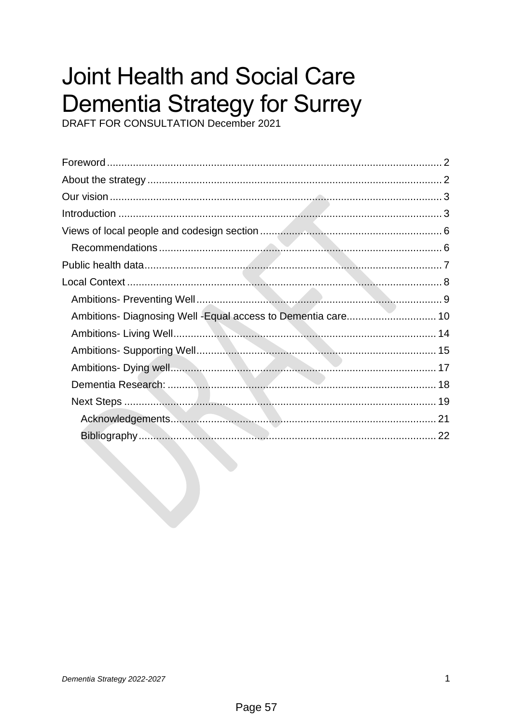# **Joint Health and Social Care Dementia Strategy for Surrey**<br>DRAFT FOR CONSULTATION December 2021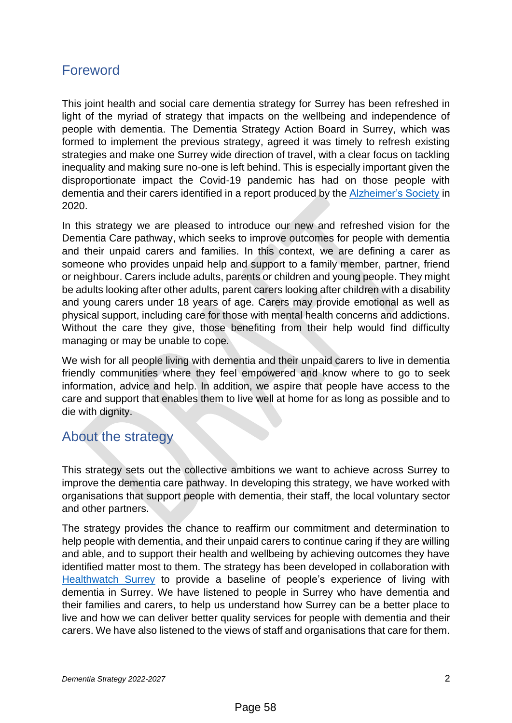# <span id="page-1-0"></span>Foreword

This joint health and social care dementia strategy for Surrey has been refreshed in light of the myriad of strategy that impacts on the wellbeing and independence of people with dementia. The Dementia Strategy Action Board in Surrey, which was formed to implement the previous strategy, agreed it was timely to refresh existing strategies and make one Surrey wide direction of travel, with a clear focus on tackling inequality and making sure no-one is left behind. This is especially important given the disproportionate impact the Covid-19 pandemic has had on those people with dementia and their carers identified in a report produced by the [Alzheimer's Society](https://www.alzheimers.org.uk/sites/default/files/2020-08/The_Impact_of_COVID-19_on_People_Affected_By_Dementia.pdf) in 2020.

In this strategy we are pleased to introduce our new and refreshed vision for the Dementia Care pathway, which seeks to improve outcomes for people with dementia and their unpaid carers and families. In this context, we are defining a carer as someone who provides unpaid help and support to a family member, partner, friend or neighbour. Carers include adults, parents or children and young people. They might be adults looking after other adults, parent carers looking after children with a disability and young carers under 18 years of age. Carers may provide emotional as well as physical support, including care for those with mental health concerns and addictions. Without the care they give, those benefiting from their help would find difficulty managing or may be unable to cope.

We wish for all people living with dementia and their unpaid carers to live in dementia friendly communities where they feel empowered and know where to go to seek information, advice and help. In addition, we aspire that people have access to the care and support that enables them to live well at home for as long as possible and to die with dignity.

## <span id="page-1-1"></span>About the strategy

This strategy sets out the collective ambitions we want to achieve across Surrey to improve the dementia care pathway. In developing this strategy, we have worked with organisations that support people with dementia, their staff, the local voluntary sector and other partners.

The strategy provides the chance to reaffirm our commitment and determination to help people with dementia, and their unpaid carers to continue caring if they are willing and able, and to support their health and wellbeing by achieving outcomes they have identified matter most to them. The strategy has been developed in collaboration with [Healthwatch Surrey](https://www.healthwatchsurrey.co.uk/wp-content/uploads/2021/11/Healthwatch-Surrey-dementia-report-Nov-2021.pdf) to provide a baseline of people's experience of living with dementia in Surrey. We have listened to people in Surrey who have dementia and their families and carers, to help us understand how Surrey can be a better place to live and how we can deliver better quality services for people with dementia and their carers. We have also listened to the views of staff and organisations that care for them.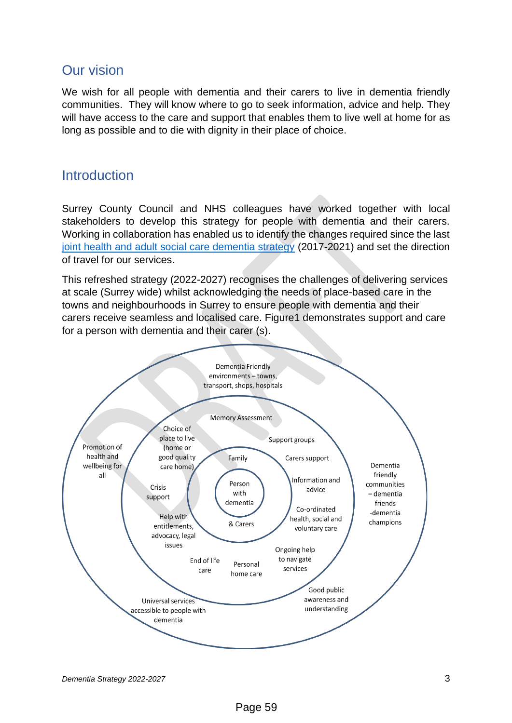## <span id="page-2-0"></span>Our vision

We wish for all people with dementia and their carers to live in dementia friendly communities. They will know where to go to seek information, advice and help. They will have access to the care and support that enables them to live well at home for as long as possible and to die with dignity in their place of choice.

## <span id="page-2-1"></span>**Introduction**

Surrey County Council and NHS colleagues have worked together with local stakeholders to develop this strategy for people with dementia and their carers. Working in collaboration has enabled us to identify the changes required since the last [joint health and adult social care dementia strategy](https://www.cshsurrey.co.uk/sites/default/files/uploads/documents/Dementia%20Strategy%20Dec%202017.pdf) (2017-2021) and set the direction of travel for our services.

This refreshed strategy (2022-2027) recognises the challenges of delivering services at scale (Surrey wide) whilst acknowledging the needs of place-based care in the towns and neighbourhoods in Surrey to ensure people with dementia and their carers receive seamless and localised care. Figure1 demonstrates support and care for a person with dementia and their carer (s).

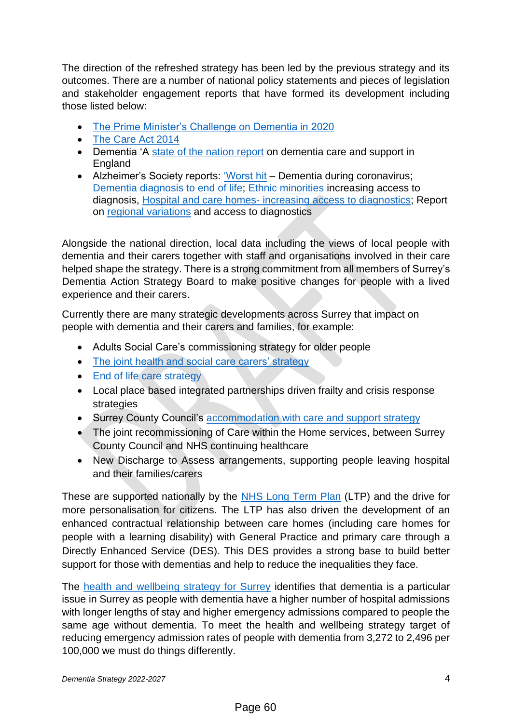The direction of the refreshed strategy has been led by the previous strategy and its outcomes. There are a number of national policy statements and pieces of legislation and stakeholder engagement reports that have formed its development including those listed below:

- [The Prime Minister's Challenge on Dementia in 2020](https://www.gov.uk/government/publications/prime-ministers-challenge-on-dementia-2020/prime-ministers-challenge-on-dementia-2020)
- [The Care Act 2014](https://www.gov.uk/government/publications/care-act-2014-part-1-factsheets/care-act-factsheets)
- Dementia 'A [state of the nation report](https://assets.publishing.service.gov.uk/government/uploads/system/uploads/attachment_data/file/262139/Dementia.pdf) on dementia care and support in England
- Alzheimer's Society reports: ['Worst hit](https://www.alzheimers.org.uk/sites/default/files/2020-09/Worst-hit-Dementia-during-coronavirus-report.pdf) Dementia during coronavirus; [Dementia diagnosis to end of life;](https://www.alzheimers.org.uk/sites/default/files/2020-10/pathway_report_full_final.pdf) [Ethnic minorities](https://www.alzheimers.org.uk/sites/default/files/2021-09/ethinic_minorities_increasing_access_to_diagnosis.pdf) increasing access to diagnosis, Hospital and care homes- [increasing access to diagnostics;](https://www.alzheimers.org.uk/sites/default/files/2021-09/hospitals_and_care_homes_increasing_access_to_diagnosis.pdf) Report on [regional variations](https://www.alzheimers.org.uk/sites/default/files/2021-09/regional_variations_increasing_access_to_diagnosis.pdf) and access to diagnostics

Alongside the national direction, local data including the views of local people with dementia and their carers together with staff and organisations involved in their care helped shape the strategy. There is a strong commitment from all members of Surrey's Dementia Action Strategy Board to make positive changes for people with a lived experience and their carers.

Currently there are many strategic developments across Surrey that impact on people with dementia and their carers and families, for example:

- Adults Social Care's commissioning strategy for older people
- [The joint health and social care carers' strategy](https://www.actionforcarers.org.uk/wp-content/uploads/2020/08/Surrey-Carers-Strategy-Consultation-Document-NApp.pdf)
- [End of life care strategy](https://www.surreyheartlands.uk/wp-content/uploads/2021/05/Surrey-Heartlands-PEoLC-Strategy-2021-2026.pdf)
- Local place based integrated partnerships driven frailty and crisis response strategies
- Surrey County Council's [accommodation with care and support strategy](https://www.surreycc.gov.uk/__data/assets/pdf_file/0017/263600/Accomodation-with-Care-and-Support-Strategy-.pdf)
- The joint recommissioning of Care within the Home services, between Surrey County Council and NHS continuing healthcare
- New Discharge to Assess arrangements, supporting people leaving hospital and their families/carers

These are supported nationally by the [NHS Long Term Plan](https://www.longtermplan.nhs.uk/online-version/) (LTP) and the drive for more personalisation for citizens. The LTP has also driven the development of an enhanced contractual relationship between care homes (including care homes for people with a learning disability) with General Practice and primary care through a Directly Enhanced Service (DES). This DES provides a strong base to build better support for those with dementias and help to reduce the inequalities they face.

The [health and wellbeing strategy for Surrey](https://www.healthysurrey.org.uk/__data/assets/pdf_file/0007/197530/Surrey-Health-and-Wellbeing-Strategy-FINAL-19.11.20.pdf) identifies that dementia is a particular issue in Surrey as people with dementia have a higher number of hospital admissions with longer lengths of stay and higher emergency admissions compared to people the same age without dementia. To meet the health and wellbeing strategy target of reducing emergency admission rates of people with dementia from 3,272 to 2,496 per 100,000 we must do things differently.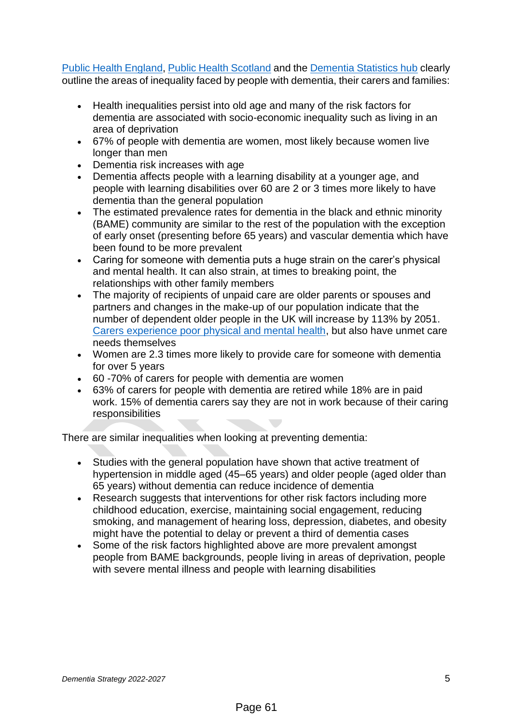[Public Health England,](https://fingertips.phe.org.uk/profile/learning-disabilities) [Public Health Scotland](http://www.healthscotland.scot/health-topics/dementia) and the [Dementia Statistics hub](https://www.dementiastatistics.org/statistics/impact-on-carers/) clearly outline the areas of inequality faced by people with dementia, their carers and families:

- Health inequalities persist into old age and many of the risk factors for dementia are associated with socio-economic inequality such as living in an area of deprivation
- 67% of people with dementia are women, most likely because women live longer than men
- Dementia risk increases with age
- Dementia affects people with a learning disability at a younger age, and people with learning disabilities over 60 are 2 or 3 times more likely to have dementia than the general population
- The estimated prevalence rates for dementia in the black and ethnic minority (BAME) community are similar to the rest of the population with the exception of early onset (presenting before 65 years) and vascular dementia which have been found to be more prevalent
- Caring for someone with dementia puts a huge strain on the carer's physical and mental health. It can also strain, at times to breaking point, the relationships with other family members
- The majority of recipients of unpaid care are older parents or spouses and partners and changes in the make-up of our population indicate that the number of dependent older people in the UK will increase by 113% by 2051. [Carers experience poor physical and mental health,](https://assets.publishing.service.gov.uk/government/uploads/system/uploads/attachment_data/file/971115/Caring_as_a_social_determinant_report.pdf) but also have unmet care needs themselves
- Women are 2.3 times more likely to provide care for someone with dementia for over 5 years
- 60 -70% of carers for people with dementia are women
- 63% of carers for people with dementia are retired while 18% are in paid work. 15% of dementia carers say they are not in work because of their caring responsibilities

There are similar inequalities when looking at preventing dementia:

- Studies with the general population have shown that active treatment of hypertension in middle aged (45–65 years) and older people (aged older than 65 years) without dementia can reduce incidence of dementia
- Research suggests that interventions for other risk factors including more childhood education, exercise, maintaining social engagement, reducing smoking, and management of hearing loss, depression, diabetes, and obesity might have the potential to delay or prevent a third of dementia cases
- Some of the risk factors highlighted above are more prevalent amongst people from BAME backgrounds, people living in areas of deprivation, people with severe mental illness and people with learning disabilities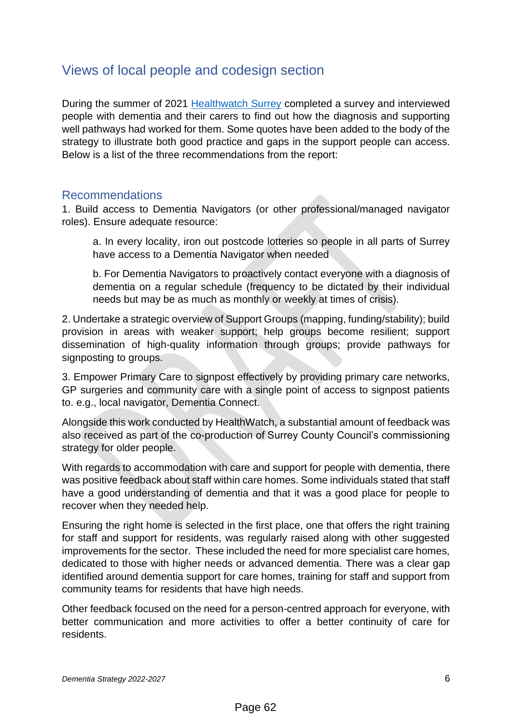# <span id="page-5-0"></span>Views of local people and codesign section

During the summer of 2021 [Healthwatch](https://www.healthwatchsurrey.co.uk/wp-content/uploads/2021/11/Healthwatch-Surrey-dementia-report-Nov-2021.pdf) Surrey completed a survey and interviewed people with dementia and their carers to find out how the diagnosis and supporting well pathways had worked for them. Some quotes have been added to the body of the strategy to illustrate both good practice and gaps in the support people can access. Below is a list of the three recommendations from the report:

#### <span id="page-5-1"></span>Recommendations

1. Build access to Dementia Navigators (or other professional/managed navigator roles). Ensure adequate resource:

a. In every locality, iron out postcode lotteries so people in all parts of Surrey have access to a Dementia Navigator when needed

b. For Dementia Navigators to proactively contact everyone with a diagnosis of dementia on a regular schedule (frequency to be dictated by their individual needs but may be as much as monthly or weekly at times of crisis).

2. Undertake a strategic overview of Support Groups (mapping, funding/stability); build provision in areas with weaker support; help groups become resilient; support dissemination of high-quality information through groups; provide pathways for signposting to groups.

3. Empower Primary Care to signpost effectively by providing primary care networks, GP surgeries and community care with a single point of access to signpost patients to. e.g., local navigator, Dementia Connect.

Alongside this work conducted by HealthWatch, a substantial amount of feedback was also received as part of the co-production of Surrey County Council's commissioning strategy for older people.

With regards to accommodation with care and support for people with dementia, there was positive feedback about staff within care homes. Some individuals stated that staff have a good understanding of dementia and that it was a good place for people to recover when they needed help.

Ensuring the right home is selected in the first place, one that offers the right training for staff and support for residents, was regularly raised along with other suggested improvements for the sector. These included the need for more specialist care homes, dedicated to those with higher needs or advanced dementia. There was a clear gap identified around dementia support for care homes, training for staff and support from community teams for residents that have high needs.

Other feedback focused on the need for a person-centred approach for everyone, with better communication and more activities to offer a better continuity of care for residents.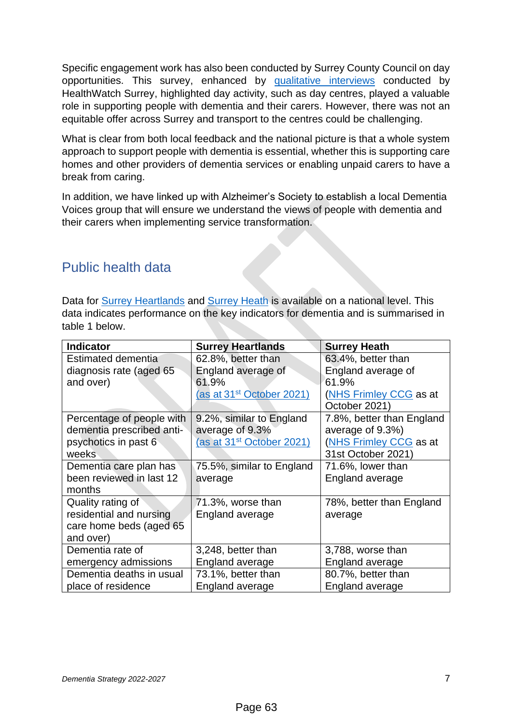Specific engagement work has also been conducted by Surrey County Council on day opportunities. This survey, enhanced by [qualitative interviews](https://www.healthwatchsurrey.co.uk/wp-content/uploads/2021/04/Day-Centres-Report-Spring-2021.pdf) conducted by HealthWatch Surrey, highlighted day activity, such as day centres, played a valuable role in supporting people with dementia and their carers. However, there was not an equitable offer across Surrey and transport to the centres could be challenging.

What is clear from both local feedback and the national picture is that a whole system approach to support people with dementia is essential, whether this is supporting care homes and other providers of dementia services or enabling unpaid carers to have a break from caring.

In addition, we have linked up with Alzheimer's Society to establish a local Dementia Voices group that will ensure we understand the views of people with dementia and their carers when implementing service transformation.

# <span id="page-6-0"></span>Public health data

Data for [Surrey Heartlands](https://fingertips.phe.org.uk/profile-group/mental-health/profile/dementia/data#page/1/gid/1938132893/pat/15/par/E92000001/ati/166/are/E38000246/iid/93040/age/27/sex/4/cid/4/tbm/1) and [Surrey Heath](https://fingertips.phe.org.uk/profile-group/mental-health/profile/dementia/data#page/1/gid/1938132893/pat/15/ati/166/are/E38000178/iid/93040/age/27/sex/4/cat/-1/ctp/-1/yrr/1/cid/4/tbm/1) is available on a national level. This data indicates performance on the key indicators for dementia and is summarised in table 1 below.

<span id="page-6-1"></span>

| <b>Indicator</b>          | <b>Surrey Heartlands</b>              | <b>Surrey Heath</b>       |
|---------------------------|---------------------------------------|---------------------------|
| Estimated dementia        | 62.8%, better than                    | 63.4%, better than        |
| diagnosis rate (aged 65   | England average of                    | England average of        |
| and over)                 | 61.9%                                 | 61.9%                     |
|                           | (as at 31 <sup>st</sup> October 2021) | (NHS Frimley CCG as at    |
|                           |                                       | October 2021)             |
| Percentage of people with | 9.2%, similar to England              | 7.8%, better than England |
| dementia prescribed anti- | average of 9.3%                       | average of 9.3%)          |
| psychotics in past 6      | (as at 31 <sup>st</sup> October 2021) | (NHS Frimley CCG as at    |
| weeks                     |                                       | 31st October 2021)        |
| Dementia care plan has    | 75.5%, similar to England             | 71.6%, lower than         |
| been reviewed in last 12  | average                               | England average           |
| months                    |                                       |                           |
| Quality rating of         | 71.3%, worse than                     | 78%, better than England  |
| residential and nursing   | <b>England average</b>                | average                   |
| care home beds (aged 65   |                                       |                           |
| and over)                 |                                       |                           |
| Dementia rate of          | 3,248, better than                    | 3,788, worse than         |
| emergency admissions      | <b>England average</b>                | England average           |
| Dementia deaths in usual  | 73.1%, better than                    | 80.7%, better than        |
| place of residence        | England average                       | England average           |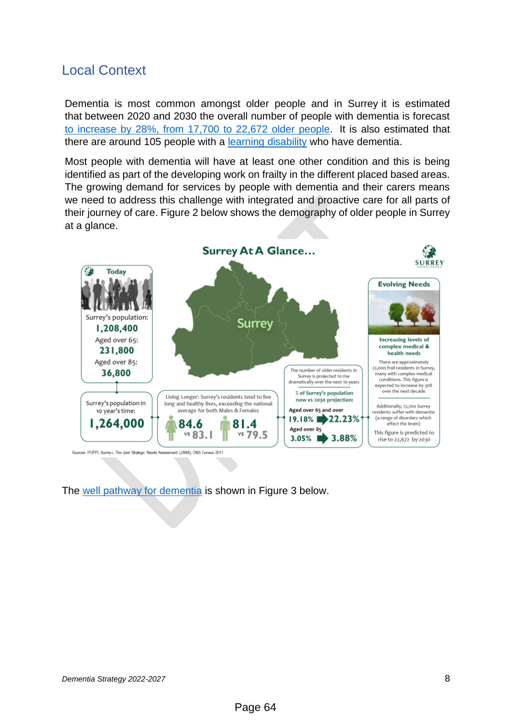# Local Context

Dementia is most common amongst older people and in Surrey it is estimated that between 2020 and 2030 the overall number of people with dementia is forecast [to increase by 28%, from 17,700 to 22,672](https://public.tableau.com/app/profile/surrey.county.council.joint.strategic.needs.assessment/viz/SCCJSNADementia/JSNADementia) older people. It is also estimated that there are around 105 people with a [learning disability](https://public.tableau.com/app/profile/surrey.county.council.joint.strategic.needs.assessment/viz/PeoplewithLearningDisabilitiesandorwithAutismJSNA/JSNA-PLD) who have dementia.

Most people with dementia will have at least one other condition and this is being identified as part of the developing work on frailty in the different placed based areas. The growing demand for services by people with dementia and their carers means we need to address this challenge with integrated and proactive care for all parts of their journey of care. Figure 2 below shows the demography of older people in Surrey at a glance.



The well [pathway for dementia](https://www.england.nhs.uk/mentalhealth/wp-content/uploads/sites/29/2016/03/dementia-well-pathway.pdf) is shown in Figure 3 below.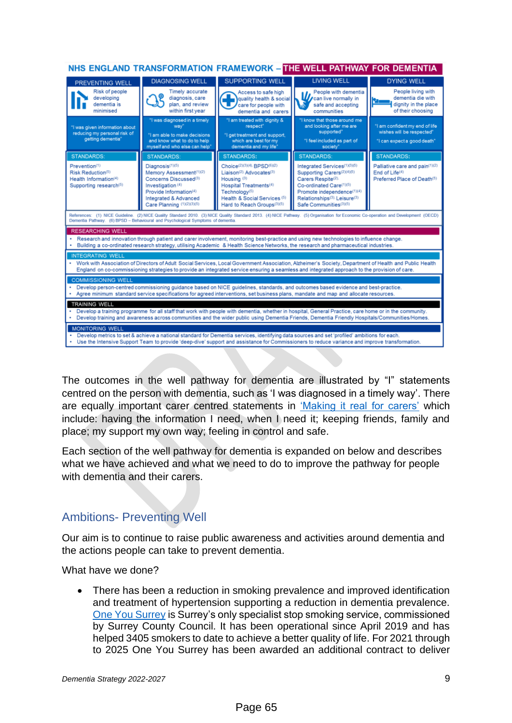| NHS ENGLAND TRANSFORMATION FRAMEWORK - THE WELL PATHWAY FOR DEMENTIA                                                                                                                                                                                                                                      |                                                                                                                                                                                                  |                                                                                                                                                                                                                                           |                                                                                                                                                                                                                                          |                                                                                                                 |
|-----------------------------------------------------------------------------------------------------------------------------------------------------------------------------------------------------------------------------------------------------------------------------------------------------------|--------------------------------------------------------------------------------------------------------------------------------------------------------------------------------------------------|-------------------------------------------------------------------------------------------------------------------------------------------------------------------------------------------------------------------------------------------|------------------------------------------------------------------------------------------------------------------------------------------------------------------------------------------------------------------------------------------|-----------------------------------------------------------------------------------------------------------------|
| <b>PREVENTING WELL</b>                                                                                                                                                                                                                                                                                    | <b>DIAGNOSING WELL</b>                                                                                                                                                                           | <b>SUPPORTING WELL</b>                                                                                                                                                                                                                    | <b>LIVING WELL</b>                                                                                                                                                                                                                       | <b>DYING WELL</b>                                                                                               |
| Risk of people<br>developing<br>dementia is<br>minimised                                                                                                                                                                                                                                                  | <b>Timely accurate</b><br>diagnosis, care<br>plan, and review<br>within first year                                                                                                               | Access to safe high<br>quality health & social<br>care for people with<br>dementia and carers                                                                                                                                             | People with dementia<br>People with definition<br>safe and accepting<br>communities                                                                                                                                                      | People living with<br>dementia die with<br>t and state of the U.S.<br>dignity in the place<br>of their choosing |
| "I was given information about<br>reducing my personal risk of<br>getting dementia"                                                                                                                                                                                                                       | "I was diagnosed in a timely<br>wav"<br>"I am able to make decisions<br>and know what to do to help<br>myself and who else can help'                                                             | "I am treated with dignity &<br>respect"<br>"I get treatment and support,<br>which are best for my<br>dementia and my life"                                                                                                               | "I know that those around me<br>and looking after me are<br>supported"<br>"I feel included as part of<br>society'                                                                                                                        | "I am confident my end of life<br>wishes will be respected"<br>"I can expect a good death"                      |
| <b>STANDARDS:</b>                                                                                                                                                                                                                                                                                         | <b>STANDARDS:</b>                                                                                                                                                                                | <b>STANDARDS:</b>                                                                                                                                                                                                                         | <b>STANDARDS:</b>                                                                                                                                                                                                                        | <b>STANDARDS:</b>                                                                                               |
| Prevention <sup>(1)</sup><br>Risk Reduction(5)<br>Health Information(4)<br>Supporting research(5)                                                                                                                                                                                                         | Diagnosis(1)(5)<br>Memory Assessment(1)(2)<br>Concerns Discussed <sup>(3)</sup><br>Investigation <sup>(4)</sup><br>Provide Information(4)<br>Integrated & Advanced<br>Care Planning (1)(2)(3)(5) | Choice(2)(3)(4). BPSD(6)(2)<br>Liaison <sup>(2)</sup> Advocates <sup>(3)</sup><br>Housing <sup>(3)</sup><br>Hospital Treatments <sup>(4)</sup><br>Technology <sup>(5)</sup><br>Health & Social Services (5)<br>Hard to Reach Groups(3)(5) | Integrated Services(1)(3)(5)<br>Supporting Carers <sup>(2)(4)(5)</sup><br>Carers Respite(2).<br>Co-ordinated Care(1)(5)<br>Promote independence(1)(4)<br>Relationships <sup>(3)</sup> . Leisure <sup>(3)</sup><br>Safe Communities(3)(5) | Palliative care and pain(1)(2)<br>End of Life(4)<br>Preferred Place of Death(5)                                 |
| References: (1) NICE Guideline. (2) NICE Quality Standard 2010. (3) NICE Quality Standard 2013. (4) NICE Pathway. (5) Organisation for Economic Co-operation and Development (OECD)<br>Dementia Pathway. (6) BPSD - Behavioural and Psychological Symptoms of dementia.                                   |                                                                                                                                                                                                  |                                                                                                                                                                                                                                           |                                                                                                                                                                                                                                          |                                                                                                                 |
| <b>RESEARCHING WELL</b>                                                                                                                                                                                                                                                                                   |                                                                                                                                                                                                  |                                                                                                                                                                                                                                           |                                                                                                                                                                                                                                          |                                                                                                                 |
| . Research and innovation through patient and carer involvement, monitoring best-practice and using new technologies to influence change.<br>Building a co-ordinated research strategy, utilising Academic & Health Science Networks, the research and pharmaceutical industries.                         |                                                                                                                                                                                                  |                                                                                                                                                                                                                                           |                                                                                                                                                                                                                                          |                                                                                                                 |
| <b>INTEGRATING WELL</b>                                                                                                                                                                                                                                                                                   |                                                                                                                                                                                                  |                                                                                                                                                                                                                                           |                                                                                                                                                                                                                                          |                                                                                                                 |
| . Work with Association of Directors of Adult Social Services, Local Government Association, Alzheimer's Society, Department of Health and Public Health<br>England on co-commissioning strategies to provide an integrated service ensuring a seamless and integrated approach to the provision of care. |                                                                                                                                                                                                  |                                                                                                                                                                                                                                           |                                                                                                                                                                                                                                          |                                                                                                                 |
| <b>COMMISSIONING WELL</b>                                                                                                                                                                                                                                                                                 |                                                                                                                                                                                                  |                                                                                                                                                                                                                                           |                                                                                                                                                                                                                                          |                                                                                                                 |
| Develop person-centred commissioning guidance based on NICE guidelines, standards, and outcomes based evidence and best-practice.<br>Agree minimum standard service specifications for agreed interventions, set business plans, mandate and map and allocate resources.                                  |                                                                                                                                                                                                  |                                                                                                                                                                                                                                           |                                                                                                                                                                                                                                          |                                                                                                                 |
| <b>TRAINING WELL</b>                                                                                                                                                                                                                                                                                      |                                                                                                                                                                                                  |                                                                                                                                                                                                                                           |                                                                                                                                                                                                                                          |                                                                                                                 |
| Develop a training programme for all staff that work with people with dementia, whether in hospital, General Practice, care home or in the community.<br>Develop training and awareness across communities and the wider public using Dementia Friends. Dementia Friendly Hospitals/Communities/Homes.    |                                                                                                                                                                                                  |                                                                                                                                                                                                                                           |                                                                                                                                                                                                                                          |                                                                                                                 |
| <b>MONITORING WELL</b><br>Develop metrics to set & achieve a national standard for Dementia services, identifying data sources and set 'profiled' ambitions for each.                                                                                                                                     |                                                                                                                                                                                                  |                                                                                                                                                                                                                                           |                                                                                                                                                                                                                                          |                                                                                                                 |
|                                                                                                                                                                                                                                                                                                           |                                                                                                                                                                                                  | Use the Intensive Support Team to provide 'deep-dive' support and assistance for Commissioners to reduce variance and improve transformation.                                                                                             |                                                                                                                                                                                                                                          |                                                                                                                 |

The outcomes in the well pathway for dementia are illustrated by "I" statements centred on the person with dementia, such as 'I was diagnosed in a timely way'. There are equally important carer centred statements in ['Making it real](https://www.basw.co.uk/resources/making-it-real-carers) for carers' which include: having the information I need, when I need it; keeping friends, family and place; my support my own way; feeling in control and safe.

Each section of the well pathway for dementia is expanded on below and describes what we have achieved and what we need to do to improve the pathway for people with dementia and their carers.

## <span id="page-8-0"></span>Ambitions- Preventing Well

Our aim is to continue to raise public awareness and activities around dementia and the actions people can take to prevent dementia.

What have we done?

• There has been a reduction in smoking prevalence and improved identification and treatment of hypertension supporting a reduction in dementia prevalence. [One You Surrey](https://oneyousurrey.org.uk/) is Surrey's only specialist stop smoking service, commissioned by Surrey County Council. It has been operational since April 2019 and has helped 3405 smokers to date to achieve a better quality of life. For 2021 through to 2025 One You Surrey has been awarded an additional contract to deliver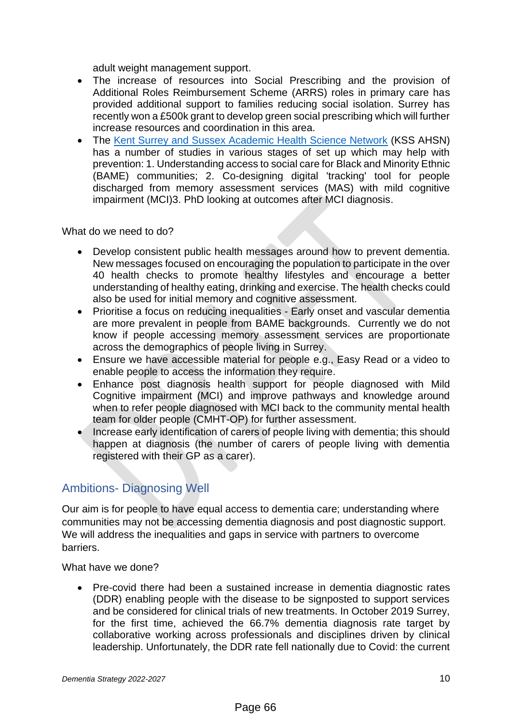adult weight management support.

- The increase of resources into Social Prescribing and the provision of Additional Roles Reimbursement Scheme (ARRS) roles in primary care has provided additional support to families reducing social isolation. Surrey has recently won a £500k grant to develop green social prescribing which will further increase resources and coordination in this area.
- The [Kent Surrey and Sussex Academic Health Science Network](https://kssahsn.net/) (KSS AHSN) has a number of studies in various stages of set up which may help with prevention: 1. Understanding access to social care for Black and Minority Ethnic (BAME) communities; 2. Co-designing digital 'tracking' tool for people discharged from memory assessment services (MAS) with mild cognitive impairment (MCI)3. PhD looking at outcomes after MCI diagnosis.

What do we need to do?

- Develop consistent public health messages around how to prevent dementia. New messages focused on encouraging the population to participate in the over 40 health checks to promote healthy lifestyles and encourage a better understanding of healthy eating, drinking and exercise. The health checks could also be used for initial memory and cognitive assessment.
- Prioritise a focus on reducing inequalities Early onset and vascular dementia are more prevalent in people from BAME backgrounds. Currently we do not know if people accessing memory assessment services are proportionate across the demographics of people living in Surrey.
- Ensure we have accessible material for people e.g., Easy Read or a video to enable people to access the information they require.
- Enhance post diagnosis health support for people diagnosed with Mild Cognitive impairment (MCI) and improve pathways and knowledge around when to refer people diagnosed with MCI back to the community mental health team for older people (CMHT-OP) for further assessment.
- Increase early identification of carers of people living with dementia; this should happen at diagnosis (the number of carers of people living with dementia registered with their GP as a carer).

## <span id="page-9-0"></span>Ambitions- Diagnosing Well

Our aim is for people to have equal access to dementia care; understanding where communities may not be accessing dementia diagnosis and post diagnostic support. We will address the inequalities and gaps in service with partners to overcome barriers.

What have we done?

• Pre-covid there had been a sustained increase in dementia diagnostic rates (DDR) enabling people with the disease to be signposted to support services and be considered for clinical trials of new treatments. In October 2019 Surrey, for the first time, achieved the 66.7% dementia diagnosis rate target by collaborative working across professionals and disciplines driven by clinical leadership. Unfortunately, the DDR rate fell nationally due to Covid: the current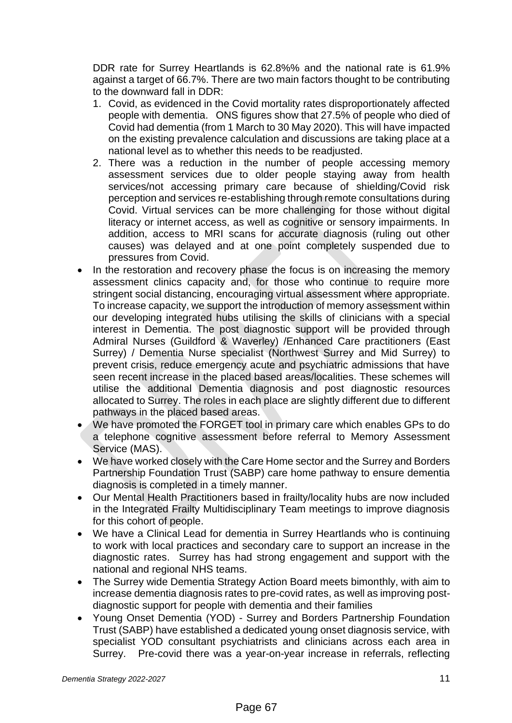DDR rate for Surrey Heartlands is 62.8%% and the national rate is 61.9% against a target of 66.7%. There are two main factors thought to be contributing to the downward fall in DDR:

- 1. Covid, as evidenced in the Covid mortality rates disproportionately affected people with dementia. ONS figures show that 27.5% of people who died of Covid had dementia (from 1 March to 30 May 2020). This will have impacted on the existing prevalence calculation and discussions are taking place at a national level as to whether this needs to be readjusted.
- 2. There was a reduction in the number of people accessing memory assessment services due to older people staying away from health services/not accessing primary care because of shielding/Covid risk perception and services re-establishing through remote consultations during Covid. Virtual services can be more challenging for those without digital literacy or internet access, as well as cognitive or sensory impairments. In addition, access to MRI scans for accurate diagnosis (ruling out other causes) was delayed and at one point completely suspended due to pressures from Covid.
- In the restoration and recovery phase the focus is on increasing the memory assessment clinics capacity and, for those who continue to require more stringent social distancing, encouraging virtual assessment where appropriate. To increase capacity, we support the introduction of memory assessment within our developing integrated hubs utilising the skills of clinicians with a special interest in Dementia. The post diagnostic support will be provided through Admiral Nurses (Guildford & Waverley) /Enhanced Care practitioners (East Surrey) / Dementia Nurse specialist (Northwest Surrey and Mid Surrey) to prevent crisis, reduce emergency acute and psychiatric admissions that have seen recent increase in the placed based areas/localities. These schemes will utilise the additional Dementia diagnosis and post diagnostic resources allocated to Surrey. The roles in each place are slightly different due to different pathways in the placed based areas.
- We have promoted the FORGET tool in primary care which enables GPs to do a telephone cognitive assessment before referral to Memory Assessment Service (MAS).
- We have worked closely with the Care Home sector and the Surrey and Borders Partnership Foundation Trust (SABP) care home pathway to ensure dementia diagnosis is completed in a timely manner.
- Our Mental Health Practitioners based in frailty/locality hubs are now included in the Integrated Frailty Multidisciplinary Team meetings to improve diagnosis for this cohort of people.
- We have a Clinical Lead for dementia in Surrey Heartlands who is continuing to work with local practices and secondary care to support an increase in the diagnostic rates. Surrey has had strong engagement and support with the national and regional NHS teams.
- The Surrey wide Dementia Strategy Action Board meets bimonthly, with aim to increase dementia diagnosis rates to pre-covid rates, as well as improving postdiagnostic support for people with dementia and their families
- Young Onset Dementia (YOD) Surrey and Borders Partnership Foundation Trust (SABP) have established a dedicated young onset diagnosis service, with specialist YOD consultant psychiatrists and clinicians across each area in Surrey. Pre-covid there was a year-on-year increase in referrals, reflecting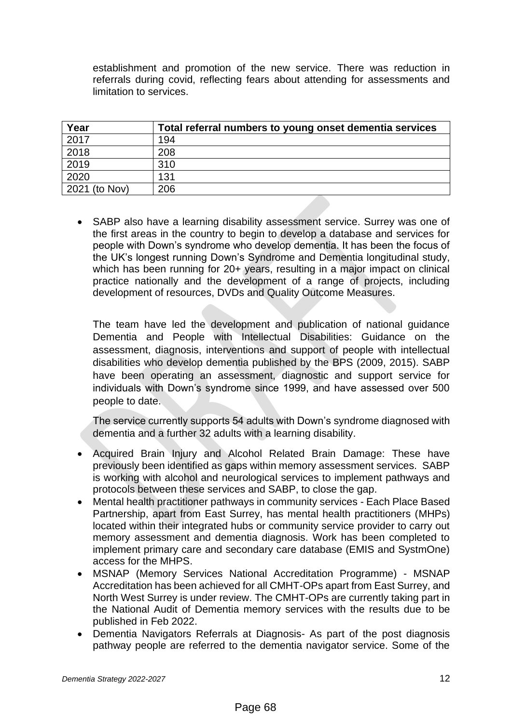establishment and promotion of the new service. There was reduction in referrals during covid, reflecting fears about attending for assessments and limitation to services.

| Year          | Total referral numbers to young onset dementia services |
|---------------|---------------------------------------------------------|
| 2017          | 194                                                     |
| 2018          | 208                                                     |
| 2019          | 310                                                     |
| 2020          | 131                                                     |
| 2021 (to Nov) | 206                                                     |

• SABP also have a learning disability assessment service. Surrey was one of the first areas in the country to begin to develop a database and services for people with Down's syndrome who develop dementia. It has been the focus of the UK's longest running Down's Syndrome and Dementia longitudinal study, which has been running for 20+ years, resulting in a major impact on clinical practice nationally and the development of a range of projects, including development of resources, DVDs and Quality Outcome Measures.

The team have led the development and publication of national guidance Dementia and People with Intellectual Disabilities: Guidance on the assessment, diagnosis, interventions and support of people with intellectual disabilities who develop dementia published by the BPS (2009, 2015). SABP have been operating an assessment, diagnostic and support service for individuals with Down's syndrome since 1999, and have assessed over 500 people to date.

The service currently supports 54 adults with Down's syndrome diagnosed with dementia and a further 32 adults with a learning disability.

- Acquired Brain Injury and Alcohol Related Brain Damage: These have previously been identified as gaps within memory assessment services. SABP is working with alcohol and neurological services to implement pathways and protocols between these services and SABP, to close the gap.
- Mental health practitioner pathways in community services Each Place Based Partnership, apart from East Surrey, has mental health practitioners (MHPs) located within their integrated hubs or community service provider to carry out memory assessment and dementia diagnosis. Work has been completed to implement primary care and secondary care database (EMIS and SystmOne) access for the MHPS.
- MSNAP (Memory Services National Accreditation Programme) MSNAP Accreditation has been achieved for all CMHT-OPs apart from East Surrey, and North West Surrey is under review. The CMHT-OPs are currently taking part in the National Audit of Dementia memory services with the results due to be published in Feb 2022.
- Dementia Navigators Referrals at Diagnosis- As part of the post diagnosis pathway people are referred to the dementia navigator service. Some of the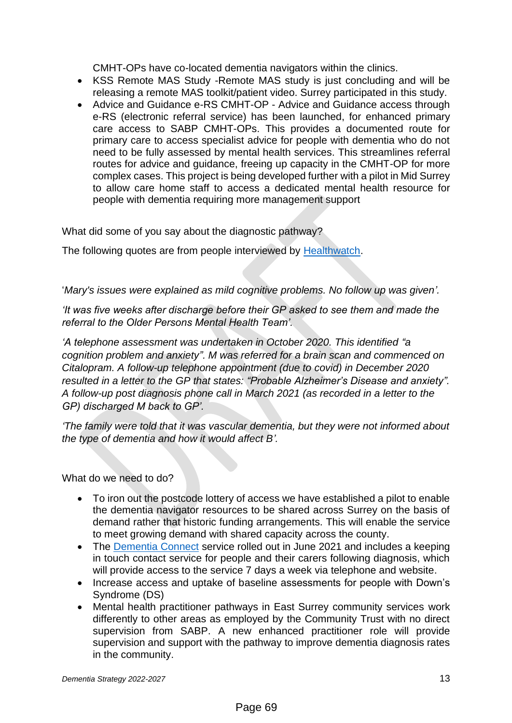CMHT-OPs have co-located dementia navigators within the clinics.

- KSS Remote MAS Study -Remote MAS study is just concluding and will be releasing a remote MAS toolkit/patient video. Surrey participated in this study.
- Advice and Guidance e-RS CMHT-OP Advice and Guidance access through e-RS (electronic referral service) has been launched, for enhanced primary care access to SABP CMHT-OPs. This provides a documented route for primary care to access specialist advice for people with dementia who do not need to be fully assessed by mental health services. This streamlines referral routes for advice and guidance, freeing up capacity in the CMHT-OP for more complex cases. This project is being developed further with a pilot in Mid Surrey to allow care home staff to access a dedicated mental health resource for people with dementia requiring more management support

What did some of you say about the diagnostic pathway?

The following quotes are from people interviewed by [Healthwatch.](https://www.healthwatchsurrey.co.uk/wp-content/uploads/2021/11/Healthwatch-Surrey-dementia-report-Nov-2021.pdf)

'*Mary's issues were explained as mild cognitive problems. No follow up was given'.* 

*'It was five weeks after discharge before their GP asked to see them and made the referral to the Older Persons Mental Health Team'.*

*'A telephone assessment was undertaken in October 2020. This identified "a cognition problem and anxiety". M was referred for a brain scan and commenced on Citalopram. A follow-up telephone appointment (due to covid) in December 2020 resulted in a letter to the GP that states: "Probable Alzheimer's Disease and anxiety". A follow-up post diagnosis phone call in March 2021 (as recorded in a letter to the GP) discharged M back to GP'.*

*'The family were told that it was vascular dementia, but they were not informed about the type of dementia and how it would affect B'.*

What do we need to do?

- To iron out the postcode lottery of access we have established a pilot to enable the dementia navigator resources to be shared across Surrey on the basis of demand rather that historic funding arrangements. This will enable the service to meet growing demand with shared capacity across the county.
- The [Dementia Connect](https://www.alzheimers.org.uk/dementiaconnect) service rolled out in June 2021 and includes a keeping in touch contact service for people and their carers following diagnosis, which will provide access to the service 7 days a week via telephone and website.
- Increase access and uptake of baseline assessments for people with Down's Syndrome (DS)
- Mental health practitioner pathways in East Surrey community services work differently to other areas as employed by the Community Trust with no direct supervision from SABP. A new enhanced practitioner role will provide supervision and support with the pathway to improve dementia diagnosis rates in the community.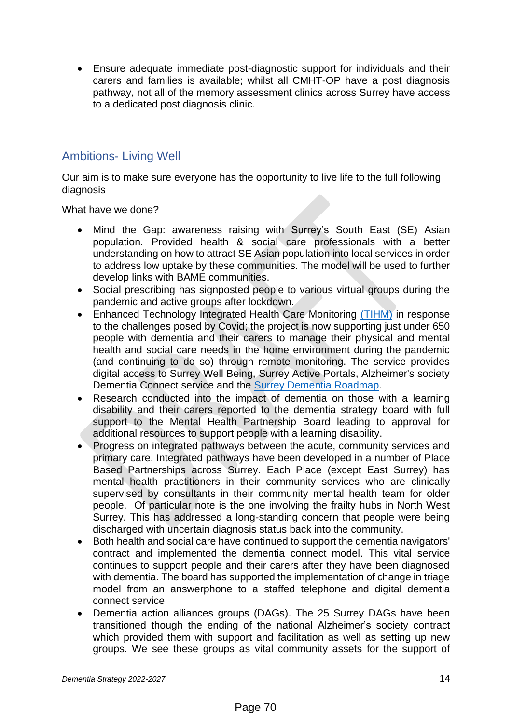• Ensure adequate immediate post-diagnostic support for individuals and their carers and families is available; whilst all CMHT-OP have a post diagnosis pathway, not all of the memory assessment clinics across Surrey have access to a dedicated post diagnosis clinic.

#### <span id="page-13-0"></span>Ambitions- Living Well

Our aim is to make sure everyone has the opportunity to live life to the full following diagnosis

What have we done?

- Mind the Gap: awareness raising with Surrey's South East (SE) Asian population. Provided health & social care professionals with a better understanding on how to attract SE Asian population into local services in order to address low uptake by these communities. The model will be used to further develop links with BAME communities.
- Social prescribing has signposted people to various virtual groups during the pandemic and active groups after lockdown.
- Enhanced Technology Integrated Health Care Monitoring [\(TIHM\)](https://www.sabp.nhs.uk/TIHM) in response to the challenges posed by Covid; the project is now supporting just under 650 people with dementia and their carers to manage their physical and mental health and social care needs in the home environment during the pandemic (and continuing to do so) through remote monitoring. The service provides digital access to Surrey Well Being, Surrey Active Portals, Alzheimer's society Dementia Connect service and the [Surrey Dementia Roadmap.](https://dementiaroadmap.info/surrey/#:~:text=The%20Surrey%20Dementia%20Roadmap%20provides,with%20dementia%20and%20their%20carers.)
- Research conducted into the impact of dementia on those with a learning disability and their carers reported to the dementia strategy board with full support to the Mental Health Partnership Board leading to approval for additional resources to support people with a learning disability.
- Progress on integrated pathways between the acute, community services and primary care. Integrated pathways have been developed in a number of Place Based Partnerships across Surrey. Each Place (except East Surrey) has mental health practitioners in their community services who are clinically supervised by consultants in their community mental health team for older people. Of particular note is the one involving the frailty hubs in North West Surrey. This has addressed a long-standing concern that people were being discharged with uncertain diagnosis status back into the community.
- Both health and social care have continued to support the dementia navigators' contract and implemented the dementia connect model. This vital service continues to support people and their carers after they have been diagnosed with dementia. The board has supported the implementation of change in triage model from an answerphone to a staffed telephone and digital dementia connect service
- Dementia action alliances groups (DAGs). The 25 Surrey DAGs have been transitioned though the ending of the national Alzheimer's society contract which provided them with support and facilitation as well as setting up new groups. We see these groups as vital community assets for the support of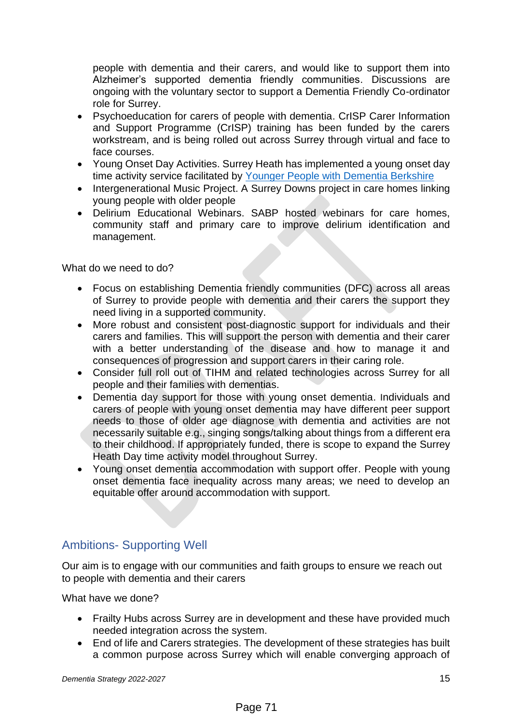people with dementia and their carers, and would like to support them into Alzheimer's supported dementia friendly communities. Discussions are ongoing with the voluntary sector to support a Dementia Friendly Co-ordinator role for Surrey.

- Psychoeducation for carers of people with dementia. CrISP Carer Information and Support Programme (CrISP) training has been funded by the carers workstream, and is being rolled out across Surrey through virtual and face to face courses.
- Young Onset Day Activities. Surrey Heath has implemented a young onset day time activity service facilitated by [Younger People with Dementia Berkshire](https://www.ypwd.info/)
- Intergenerational Music Project. A Surrey Downs project in care homes linking young people with older people
- Delirium Educational Webinars. SABP hosted webinars for care homes, community staff and primary care to improve delirium identification and management.

What do we need to do?

- Focus on establishing Dementia friendly communities (DFC) across all areas of Surrey to provide people with dementia and their carers the support they need living in a supported community.
- More robust and consistent post-diagnostic support for individuals and their carers and families. This will support the person with dementia and their carer with a better understanding of the disease and how to manage it and consequences of progression and support carers in their caring role.
- Consider full roll out of TIHM and related technologies across Surrey for all people and their families with dementias.
- Dementia day support for those with young onset dementia. Individuals and carers of people with young onset dementia may have different peer support needs to those of older age diagnose with dementia and activities are not necessarily suitable e.g., singing songs/talking about things from a different era to their childhood. If appropriately funded, there is scope to expand the Surrey Heath Day time activity model throughout Surrey.
- Young onset dementia accommodation with support offer. People with young onset dementia face inequality across many areas; we need to develop an equitable offer around accommodation with support.

## <span id="page-14-0"></span>Ambitions- Supporting Well

Our aim is to engage with our communities and faith groups to ensure we reach out to people with dementia and their carers

What have we done?

- Frailty Hubs across Surrey are in development and these have provided much needed integration across the system.
- End of life and Carers strategies. The development of these strategies has built a common purpose across Surrey which will enable converging approach of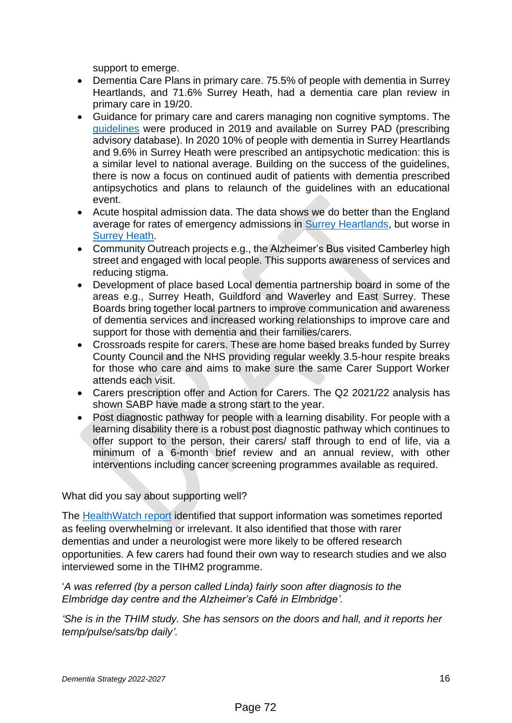support to emerge.

- Dementia Care Plans in primary care. 75.5% of people with dementia in Surrey Heartlands, and 71.6% Surrey Heath, had a dementia care plan review in primary care in 19/20.
- Guidance for primary care and carers managing non cognitive symptoms. The [guidelines](https://surreyccg.res-systems.net/PAD/Content/Documents/2/Guidelines%20-%20Managing%20Non-Cognitive%20Symptoms%20in%20People%20Living%20With%20Dementia%20-%20August%202019.pdf) were produced in 2019 and available on Surrey PAD (prescribing advisory database). In 2020 10% of people with dementia in Surrey Heartlands and 9.6% in Surrey Heath were prescribed an antipsychotic medication: this is a similar level to national average. Building on the success of the guidelines, there is now a focus on continued audit of patients with dementia prescribed antipsychotics and plans to relaunch of the guidelines with an educational event.
- Acute hospital admission data. The data shows we do better than the England average for rates of emergency admissions in [Surrey Heartlands,](https://fingertips.phe.org.uk/profile-group/mental-health/profile/dementia/data#page/1/gid/1938132893/pat/15/par/E92000001/ati/166/are/E38000246/iid/93040/age/27/sex/4/cid/4/tbm/1) but worse in [Surrey Heath.](https://fingertips.phe.org.uk/profile-group/mental-health/profile/dementia/data#page/1/gid/1938132893/pat/15/ati/166/are/E38000178/iid/93040/age/27/sex/4/cat/-1/ctp/-1/yrr/1/cid/4/tbm/1)
- Community Outreach projects e.g., the Alzheimer's Bus visited Camberley high street and engaged with local people. This supports awareness of services and reducing stigma.
- Development of place based Local dementia partnership board in some of the areas e.g., Surrey Heath, Guildford and Waverley and East Surrey. These Boards bring together local partners to improve communication and awareness of dementia services and increased working relationships to improve care and support for those with dementia and their families/carers.
- Crossroads respite for carers. These are home based breaks funded by Surrey County Council and the NHS providing regular weekly 3.5-hour respite breaks for those who care and aims to make sure the same Carer Support Worker attends each visit.
- Carers prescription offer and Action for Carers. The Q2 2021/22 analysis has shown SABP have made a strong start to the year.
- Post diagnostic pathway for people with a learning disability. For people with a learning disability there is a robust post diagnostic pathway which continues to offer support to the person, their carers/ staff through to end of life, via a minimum of a 6-month brief review and an annual review, with other interventions including cancer screening programmes available as required.

#### What did you say about supporting well?

The [HealthWatch report](https://www.healthwatchsurrey.co.uk/wp-content/uploads/2021/11/Healthwatch-Surrey-dementia-report-Nov-2021.pdf) identified that support information was sometimes reported as feeling overwhelming or irrelevant. It also identified that those with rarer dementias and under a neurologist were more likely to be offered research opportunities. A few carers had found their own way to research studies and we also interviewed some in the TIHM2 programme.

#### '*A was referred (by a person called Linda) fairly soon after diagnosis to the Elmbridge day centre and the Alzheimer's Café in Elmbridge'.*

*'She is in the THIM study. She has sensors on the doors and hall, and it reports her temp/pulse/sats/bp daily'.*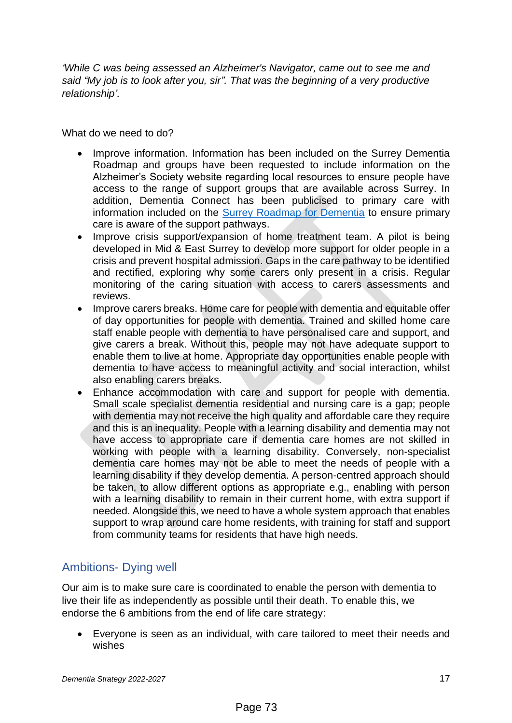*'While C was being assessed an Alzheimer's Navigator, came out to see me and said "My job is to look after you, sir". That was the beginning of a very productive relationship'.*

What do we need to do?

- Improve information. Information has been included on the Surrey Dementia Roadmap and groups have been requested to include information on the Alzheimer's Society website regarding local resources to ensure people have access to the range of support groups that are available across Surrey. In addition, Dementia Connect has been publicised to primary care with information included on the [Surrey Roadmap for Dementia](https://dementiaroadmap.info/surrey/#:~:text=The%20Surrey%20Dementia%20Roadmap%20provides,with%20dementia%20and%20their%20carers.) to ensure primary care is aware of the support pathways.
- Improve crisis support/expansion of home treatment team. A pilot is being developed in Mid & East Surrey to develop more support for older people in a crisis and prevent hospital admission. Gaps in the care pathway to be identified and rectified, exploring why some carers only present in a crisis. Regular monitoring of the caring situation with access to carers assessments and reviews.
- Improve carers breaks. Home care for people with dementia and equitable offer of day opportunities for people with dementia. Trained and skilled home care staff enable people with dementia to have personalised care and support, and give carers a break. Without this, people may not have adequate support to enable them to live at home. Appropriate day opportunities enable people with dementia to have access to meaningful activity and social interaction, whilst also enabling carers breaks.
- Enhance accommodation with care and support for people with dementia. Small scale specialist dementia residential and nursing care is a gap; people with dementia may not receive the high quality and affordable care they require and this is an inequality. People with a learning disability and dementia may not have access to appropriate care if dementia care homes are not skilled in working with people with a learning disability. Conversely, non-specialist dementia care homes may not be able to meet the needs of people with a learning disability if they develop dementia. A person-centred approach should be taken, to allow different options as appropriate e.g., enabling with person with a learning disability to remain in their current home, with extra support if needed. Alongside this, we need to have a whole system approach that enables support to wrap around care home residents, with training for staff and support from community teams for residents that have high needs.

## <span id="page-16-0"></span>Ambitions- Dying well

Our aim is to make sure care is coordinated to enable the person with dementia to live their life as independently as possible until their death. To enable this, we endorse the 6 ambitions from the end of life care strategy:

• Everyone is seen as an individual, with care tailored to meet their needs and wishes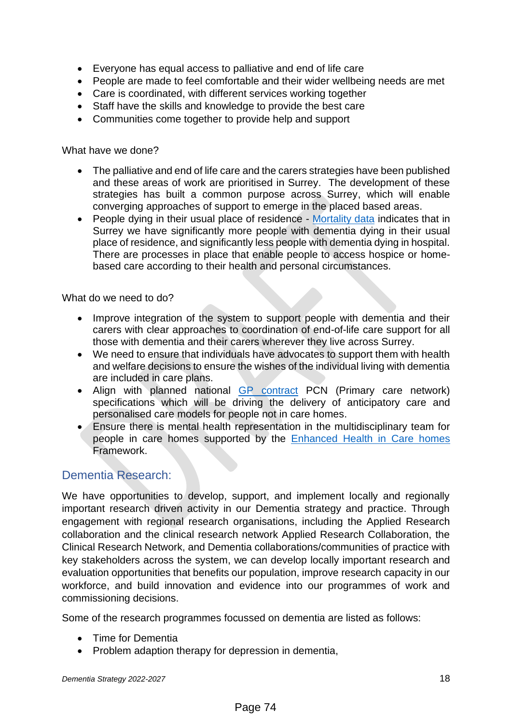- Everyone has equal access to palliative and end of life care
- People are made to feel comfortable and their wider wellbeing needs are met
- Care is coordinated, with different services working together
- Staff have the skills and knowledge to provide the best care
- Communities come together to provide help and support

What have we done?

- The palliative and end of life care and the carers strategies have been published and these areas of work are prioritised in Surrey. The development of these strategies has built a common purpose across Surrey, which will enable converging approaches of support to emerge in the placed based areas.
- People dying in their usual place of residence [Mortality data](https://fingertips.phe.org.uk/profile-group/mental-health/profile/dementia/data#page/1/gid/1938132894/pat/15/par/E92000001/ati/166/are/E38000178/yrr/1/cid/4/tbm/1) indicates that in Surrey we have significantly more people with dementia dying in their usual place of residence, and significantly less people with dementia dying in hospital. There are processes in place that enable people to access hospice or homebased care according to their health and personal circumstances.

What do we need to do?

- Improve integration of the system to support people with dementia and their carers with clear approaches to coordination of end-of-life care support for all those with dementia and their carers wherever they live across Surrey.
- We need to ensure that individuals have advocates to support them with health and welfare decisions to ensure the wishes of the individual living with dementia are included in care plans.
- Align with planned national [GP contract](https://www.england.nhs.uk/wp-content/uploads/2021/08/B0828-i-gp-contract-letter-pvns-21-22-and-22-23.pdf) PCN (Primary care network) specifications which will be driving the delivery of anticipatory care and personalised care models for people not in care homes.
- Ensure there is mental health representation in the multidisciplinary team for people in care homes supported by the Enhanced [Health in Care homes](https://www.england.nhs.uk/community-health-services/ehch/) Framework.

#### <span id="page-17-0"></span>Dementia Research:

We have opportunities to develop, support, and implement locally and regionally important research driven activity in our Dementia strategy and practice. Through engagement with regional research organisations, including the Applied Research collaboration and the clinical research network Applied Research Collaboration, the Clinical Research Network, and Dementia collaborations/communities of practice with key stakeholders across the system, we can develop locally important research and evaluation opportunities that benefits our population, improve research capacity in our workforce, and build innovation and evidence into our programmes of work and commissioning decisions.

Some of the research programmes focussed on dementia are listed as follows:

- Time for Dementia
- Problem adaption therapy for depression in dementia,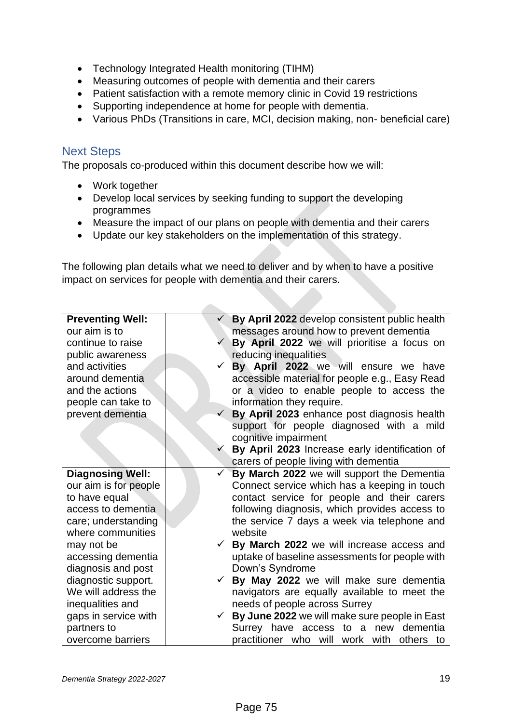- Technology Integrated Health monitoring (TIHM)
- Measuring outcomes of people with dementia and their carers
- Patient satisfaction with a remote memory clinic in Covid 19 restrictions
- Supporting independence at home for people with dementia.
- Various PhDs (Transitions in care, MCI, decision making, non- beneficial care)

#### <span id="page-18-0"></span>Next Steps

The proposals co-produced within this document describe how we will:

**College** 

- Work together
- Develop local services by seeking funding to support the developing programmes
- Measure the impact of our plans on people with dementia and their carers
- Update our key stakeholders on the implementation of this strategy.

The following plan details what we need to deliver and by when to have a positive impact on services for people with dementia and their carers.

| <b>Preventing Well:</b> | By April 2022 develop consistent public health |
|-------------------------|------------------------------------------------|
| our aim is to           | messages around how to prevent dementia        |
| continue to raise       | By April 2022 we will prioritise a focus on    |
| public awareness        | reducing inequalities                          |
| and activities          | By April 2022 we will ensure we have           |
| around dementia         | accessible material for people e.g., Easy Read |
| and the actions         | or a video to enable people to access the      |
| people can take to      | information they require.                      |
| prevent dementia        | By April 2023 enhance post diagnosis health    |
|                         | support for people diagnosed with a mild       |
|                         | cognitive impairment                           |
|                         | By April 2023 Increase early identification of |
|                         | carers of people living with dementia          |
| <b>Diagnosing Well:</b> | By March 2022 we will support the Dementia     |
| our aim is for people   | Connect service which has a keeping in touch   |
| to have equal           | contact service for people and their carers    |
| access to dementia      | following diagnosis, which provides access to  |
| care; understanding     | the service 7 days a week via telephone and    |
| where communities       | website                                        |
| may not be              | By March 2022 we will increase access and      |
| accessing dementia      | uptake of baseline assessments for people with |
| diagnosis and post      | Down's Syndrome                                |
| diagnostic support.     | By May 2022 we will make sure dementia         |
| We will address the     | navigators are equally available to meet the   |
| inequalities and        | needs of people across Surrey                  |
| gaps in service with    | By June 2022 we will make sure people in East  |
| partners to             | Surrey have access to a new dementia           |
| overcome barriers       | practitioner who will work with others to      |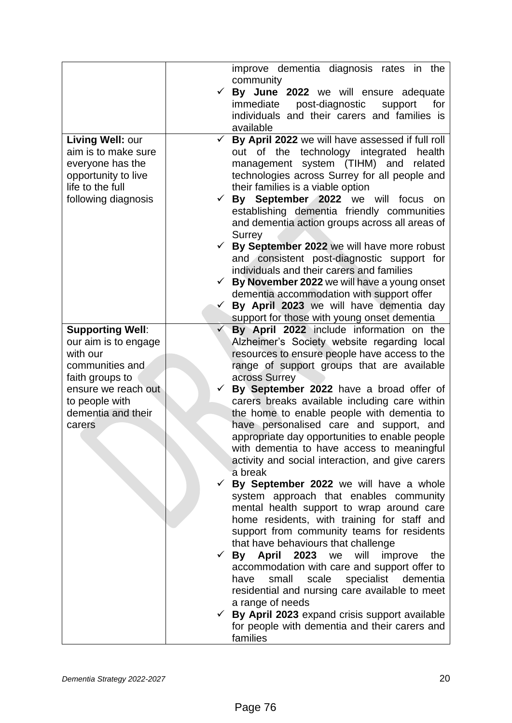|                         |              | improve dementia diagnosis rates in the          |
|-------------------------|--------------|--------------------------------------------------|
|                         |              | community                                        |
|                         |              | By June 2022 we will ensure adequate             |
|                         |              | immediate<br>post-diagnostic<br>support<br>for   |
|                         |              | individuals and their carers and families is     |
|                         |              | available                                        |
| Living Well: our        | $\checkmark$ | By April 2022 we will have assessed if full roll |
| aim is to make sure     |              | the technology integrated health<br>out of       |
| everyone has the        |              | management system (TIHM) and related             |
| opportunity to live     |              | technologies across Surrey for all people and    |
| life to the full        |              | their families is a viable option                |
| following diagnosis     | $\checkmark$ | By September 2022 we will focus<br>on on         |
|                         |              | establishing dementia friendly communities       |
|                         |              | and dementia action groups across all areas of   |
|                         |              | Surrey                                           |
|                         |              | By September 2022 we will have more robust       |
|                         |              | and consistent post-diagnostic support for       |
|                         |              | individuals and their carers and families        |
|                         |              | By November 2022 we will have a young onset      |
|                         |              | dementia accommodation with support offer        |
|                         | $\checkmark$ | By April 2023 we will have dementia day          |
|                         |              | support for those with young onset dementia      |
| <b>Supporting Well:</b> | ✓            | By April 2022 include information on the         |
| our aim is to engage    |              | Alzheimer's Society website regarding local      |
| with our                |              | resources to ensure people have access to the    |
| communities and         |              | range of support groups that are available       |
| faith groups to         |              | across Surrey                                    |
| ensure we reach out     |              | By September 2022 have a broad offer of          |
| to people with          |              | carers breaks available including care within    |
| dementia and their      |              | the home to enable people with dementia to       |
| carers                  |              | have personalised care and support, and          |
|                         |              | appropriate day opportunities to enable people   |
|                         |              | with dementia to have access to meaningful       |
|                         |              | activity and social interaction, and give carers |
|                         |              | a break                                          |
|                         |              | By September 2022 we will have a whole           |
|                         |              | system approach that enables community           |
|                         |              | mental health support to wrap around care        |
|                         |              | home residents, with training for staff and      |
|                         |              | support from community teams for residents       |
|                         |              | that have behaviours that challenge              |
|                         |              | By April 2023 we<br>will<br>improve<br>the       |
|                         |              | accommodation with care and support offer to     |
|                         |              | scale<br>specialist dementia<br>have<br>small    |
|                         |              | residential and nursing care available to meet   |
|                         |              | a range of needs                                 |
|                         | ✓            | By April 2023 expand crisis support available    |
|                         |              | for people with dementia and their carers and    |
|                         |              | families                                         |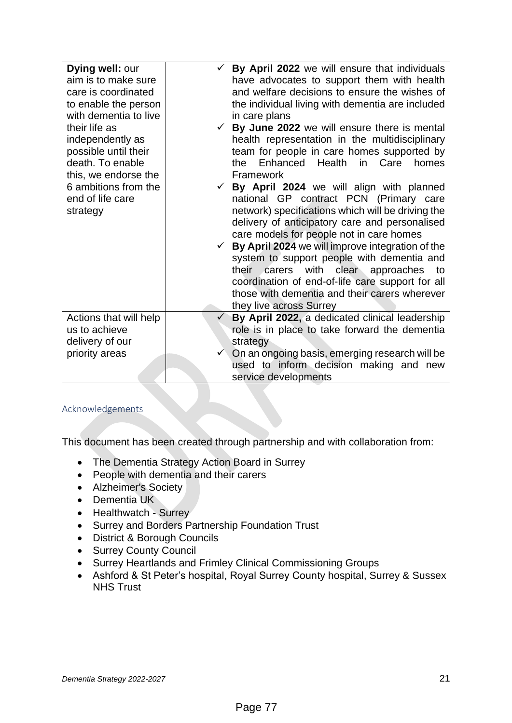| Dying well: our<br>$\checkmark$ By April 2022 we will ensure that individuals<br>aim is to make sure<br>have advocates to support them with health<br>and welfare decisions to ensure the wishes of<br>care is coordinated<br>the individual living with dementia are included<br>to enable the person<br>with dementia to live<br>in care plans<br>their life as<br>By June 2022 we will ensure there is mental<br>independently as<br>health representation in the multidisciplinary<br>possible until their<br>team for people in care homes supported by<br>death. To enable<br>Enhanced Health in Care<br>the<br>homes<br>this, we endorse the<br>Framework<br>6 ambitions from the<br>$\checkmark$ By April 2024 we will align with planned<br>national GP contract PCN (Primary care<br>end of life care<br>network) specifications which will be driving the<br>strategy<br>delivery of anticipatory care and personalised<br>care models for people not in care homes<br>By April 2024 we will improve integration of the<br>system to support people with dementia and<br>with clear approaches<br>their carers<br>to<br>coordination of end-of-life care support for all<br>those with dementia and their carers wherever<br>they live across Surrey<br>By April 2022, a dedicated clinical leadership<br>Actions that will help<br>us to achieve<br>role is in place to take forward the dementia<br>delivery of our<br>strategy<br>On an ongoing basis, emerging research will be<br>priority areas<br>used to inform decision making and new<br>service developments |  |  |
|------------------------------------------------------------------------------------------------------------------------------------------------------------------------------------------------------------------------------------------------------------------------------------------------------------------------------------------------------------------------------------------------------------------------------------------------------------------------------------------------------------------------------------------------------------------------------------------------------------------------------------------------------------------------------------------------------------------------------------------------------------------------------------------------------------------------------------------------------------------------------------------------------------------------------------------------------------------------------------------------------------------------------------------------------------------------------------------------------------------------------------------------------------------------------------------------------------------------------------------------------------------------------------------------------------------------------------------------------------------------------------------------------------------------------------------------------------------------------------------------------------------------------------------------------------------------------------|--|--|
|                                                                                                                                                                                                                                                                                                                                                                                                                                                                                                                                                                                                                                                                                                                                                                                                                                                                                                                                                                                                                                                                                                                                                                                                                                                                                                                                                                                                                                                                                                                                                                                    |  |  |
|                                                                                                                                                                                                                                                                                                                                                                                                                                                                                                                                                                                                                                                                                                                                                                                                                                                                                                                                                                                                                                                                                                                                                                                                                                                                                                                                                                                                                                                                                                                                                                                    |  |  |
|                                                                                                                                                                                                                                                                                                                                                                                                                                                                                                                                                                                                                                                                                                                                                                                                                                                                                                                                                                                                                                                                                                                                                                                                                                                                                                                                                                                                                                                                                                                                                                                    |  |  |
|                                                                                                                                                                                                                                                                                                                                                                                                                                                                                                                                                                                                                                                                                                                                                                                                                                                                                                                                                                                                                                                                                                                                                                                                                                                                                                                                                                                                                                                                                                                                                                                    |  |  |
|                                                                                                                                                                                                                                                                                                                                                                                                                                                                                                                                                                                                                                                                                                                                                                                                                                                                                                                                                                                                                                                                                                                                                                                                                                                                                                                                                                                                                                                                                                                                                                                    |  |  |
|                                                                                                                                                                                                                                                                                                                                                                                                                                                                                                                                                                                                                                                                                                                                                                                                                                                                                                                                                                                                                                                                                                                                                                                                                                                                                                                                                                                                                                                                                                                                                                                    |  |  |
|                                                                                                                                                                                                                                                                                                                                                                                                                                                                                                                                                                                                                                                                                                                                                                                                                                                                                                                                                                                                                                                                                                                                                                                                                                                                                                                                                                                                                                                                                                                                                                                    |  |  |
|                                                                                                                                                                                                                                                                                                                                                                                                                                                                                                                                                                                                                                                                                                                                                                                                                                                                                                                                                                                                                                                                                                                                                                                                                                                                                                                                                                                                                                                                                                                                                                                    |  |  |
|                                                                                                                                                                                                                                                                                                                                                                                                                                                                                                                                                                                                                                                                                                                                                                                                                                                                                                                                                                                                                                                                                                                                                                                                                                                                                                                                                                                                                                                                                                                                                                                    |  |  |
|                                                                                                                                                                                                                                                                                                                                                                                                                                                                                                                                                                                                                                                                                                                                                                                                                                                                                                                                                                                                                                                                                                                                                                                                                                                                                                                                                                                                                                                                                                                                                                                    |  |  |
|                                                                                                                                                                                                                                                                                                                                                                                                                                                                                                                                                                                                                                                                                                                                                                                                                                                                                                                                                                                                                                                                                                                                                                                                                                                                                                                                                                                                                                                                                                                                                                                    |  |  |
|                                                                                                                                                                                                                                                                                                                                                                                                                                                                                                                                                                                                                                                                                                                                                                                                                                                                                                                                                                                                                                                                                                                                                                                                                                                                                                                                                                                                                                                                                                                                                                                    |  |  |
|                                                                                                                                                                                                                                                                                                                                                                                                                                                                                                                                                                                                                                                                                                                                                                                                                                                                                                                                                                                                                                                                                                                                                                                                                                                                                                                                                                                                                                                                                                                                                                                    |  |  |
|                                                                                                                                                                                                                                                                                                                                                                                                                                                                                                                                                                                                                                                                                                                                                                                                                                                                                                                                                                                                                                                                                                                                                                                                                                                                                                                                                                                                                                                                                                                                                                                    |  |  |
|                                                                                                                                                                                                                                                                                                                                                                                                                                                                                                                                                                                                                                                                                                                                                                                                                                                                                                                                                                                                                                                                                                                                                                                                                                                                                                                                                                                                                                                                                                                                                                                    |  |  |
|                                                                                                                                                                                                                                                                                                                                                                                                                                                                                                                                                                                                                                                                                                                                                                                                                                                                                                                                                                                                                                                                                                                                                                                                                                                                                                                                                                                                                                                                                                                                                                                    |  |  |
|                                                                                                                                                                                                                                                                                                                                                                                                                                                                                                                                                                                                                                                                                                                                                                                                                                                                                                                                                                                                                                                                                                                                                                                                                                                                                                                                                                                                                                                                                                                                                                                    |  |  |
|                                                                                                                                                                                                                                                                                                                                                                                                                                                                                                                                                                                                                                                                                                                                                                                                                                                                                                                                                                                                                                                                                                                                                                                                                                                                                                                                                                                                                                                                                                                                                                                    |  |  |
|                                                                                                                                                                                                                                                                                                                                                                                                                                                                                                                                                                                                                                                                                                                                                                                                                                                                                                                                                                                                                                                                                                                                                                                                                                                                                                                                                                                                                                                                                                                                                                                    |  |  |
|                                                                                                                                                                                                                                                                                                                                                                                                                                                                                                                                                                                                                                                                                                                                                                                                                                                                                                                                                                                                                                                                                                                                                                                                                                                                                                                                                                                                                                                                                                                                                                                    |  |  |
|                                                                                                                                                                                                                                                                                                                                                                                                                                                                                                                                                                                                                                                                                                                                                                                                                                                                                                                                                                                                                                                                                                                                                                                                                                                                                                                                                                                                                                                                                                                                                                                    |  |  |
|                                                                                                                                                                                                                                                                                                                                                                                                                                                                                                                                                                                                                                                                                                                                                                                                                                                                                                                                                                                                                                                                                                                                                                                                                                                                                                                                                                                                                                                                                                                                                                                    |  |  |
|                                                                                                                                                                                                                                                                                                                                                                                                                                                                                                                                                                                                                                                                                                                                                                                                                                                                                                                                                                                                                                                                                                                                                                                                                                                                                                                                                                                                                                                                                                                                                                                    |  |  |
|                                                                                                                                                                                                                                                                                                                                                                                                                                                                                                                                                                                                                                                                                                                                                                                                                                                                                                                                                                                                                                                                                                                                                                                                                                                                                                                                                                                                                                                                                                                                                                                    |  |  |
|                                                                                                                                                                                                                                                                                                                                                                                                                                                                                                                                                                                                                                                                                                                                                                                                                                                                                                                                                                                                                                                                                                                                                                                                                                                                                                                                                                                                                                                                                                                                                                                    |  |  |
|                                                                                                                                                                                                                                                                                                                                                                                                                                                                                                                                                                                                                                                                                                                                                                                                                                                                                                                                                                                                                                                                                                                                                                                                                                                                                                                                                                                                                                                                                                                                                                                    |  |  |
|                                                                                                                                                                                                                                                                                                                                                                                                                                                                                                                                                                                                                                                                                                                                                                                                                                                                                                                                                                                                                                                                                                                                                                                                                                                                                                                                                                                                                                                                                                                                                                                    |  |  |

#### <span id="page-20-0"></span>Acknowledgements

This document has been created through partnership and with collaboration from:

- The Dementia Strategy Action Board in Surrey
- People with dementia and their carers
- Alzheimer's Society
- Dementia UK
- Healthwatch Surrey
- Surrey and Borders Partnership Foundation Trust
- District & Borough Councils
- Surrey County Council
- Surrey Heartlands and Frimley Clinical Commissioning Groups
- Ashford & St Peter's hospital, Royal Surrey County hospital, Surrey & Sussex NHS Trust